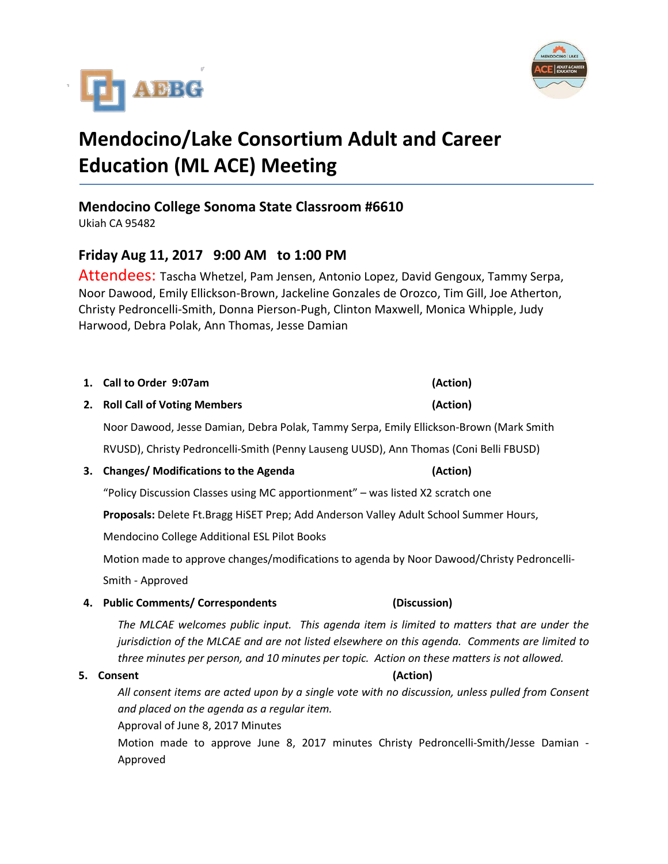



# **Mendocino/Lake Consortium Adult and Career Education (ML ACE) Meeting**

### **Mendocino College Sonoma State Classroom #6610**

Ukiah CA 95482

### **Friday Aug 11, 2017 9:00 AM to 1:00 PM**

Attendees: Tascha Whetzel, Pam Jensen, Antonio Lopez, David Gengoux, Tammy Serpa, Noor Dawood, Emily Ellickson-Brown, Jackeline Gonzales de Orozco, Tim Gill, Joe Atherton, Christy Pedroncelli-Smith, Donna Pierson-Pugh, Clinton Maxwell, Monica Whipple, Judy Harwood, Debra Polak, Ann Thomas, Jesse Damian

## **1. Call to Order 9:07am (Action)**

**2. Roll Call of Voting Members (Action)**

Noor Dawood, Jesse Damian, Debra Polak, Tammy Serpa, Emily Ellickson-Brown (Mark Smith

RVUSD), Christy Pedroncelli-Smith (Penny Lauseng UUSD), Ann Thomas (Coni Belli FBUSD)

#### **3. Changes/ Modifications to the Agenda (Action)**

"Policy Discussion Classes using MC apportionment" – was listed X2 scratch one

**Proposals:** Delete Ft.Bragg HiSET Prep; Add Anderson Valley Adult School Summer Hours,

Mendocino College Additional ESL Pilot Books

Motion made to approve changes/modifications to agenda by Noor Dawood/Christy Pedroncelli-Smith - Approved

**4. Public Comments/ Correspondents (Discussion)**

*The MLCAE welcomes public input. This agenda item is limited to matters that are under the jurisdiction of the MLCAE and are not listed elsewhere on this agenda. Comments are limited to three minutes per person, and 10 minutes per topic. Action on these matters is not allowed.*

#### **5. Consent (Action)**

*All consent items are acted upon by a single vote with no discussion, unless pulled from Consent and placed on the agenda as a regular item.* 

Approval of June 8, 2017 Minutes

Motion made to approve June 8, 2017 minutes Christy Pedroncelli-Smith/Jesse Damian - Approved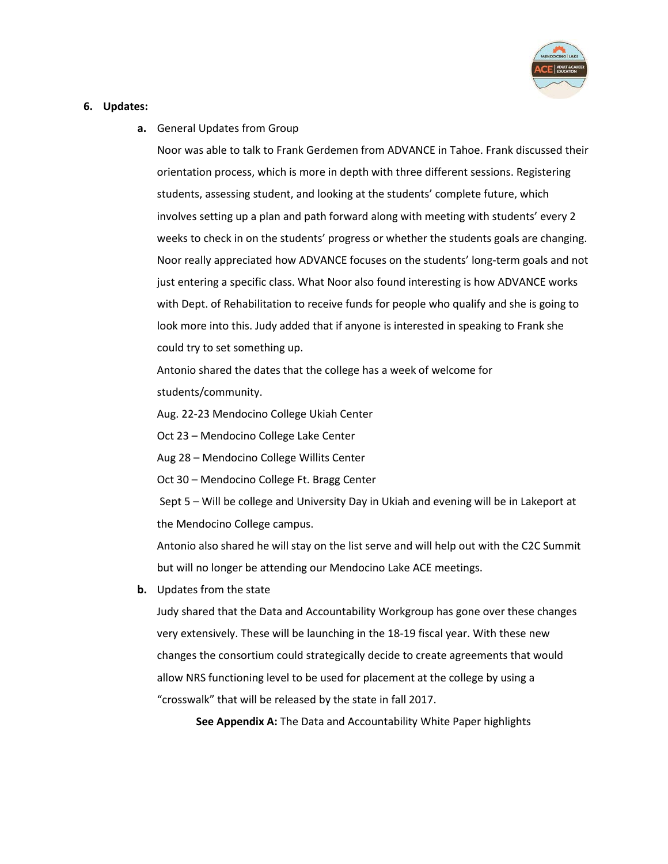

#### **6. Updates:**

**a.** General Updates from Group

Noor was able to talk to Frank Gerdemen from ADVANCE in Tahoe. Frank discussed their orientation process, which is more in depth with three different sessions. Registering students, assessing student, and looking at the students' complete future, which involves setting up a plan and path forward along with meeting with students' every 2 weeks to check in on the students' progress or whether the students goals are changing. Noor really appreciated how ADVANCE focuses on the students' long-term goals and not just entering a specific class. What Noor also found interesting is how ADVANCE works with Dept. of Rehabilitation to receive funds for people who qualify and she is going to look more into this. Judy added that if anyone is interested in speaking to Frank she could try to set something up.

Antonio shared the dates that the college has a week of welcome for students/community.

Aug. 22-23 Mendocino College Ukiah Center

Oct 23 – Mendocino College Lake Center

Aug 28 – Mendocino College Willits Center

Oct 30 – Mendocino College Ft. Bragg Center

Sept 5 – Will be college and University Day in Ukiah and evening will be in Lakeport at the Mendocino College campus.

Antonio also shared he will stay on the list serve and will help out with the C2C Summit but will no longer be attending our Mendocino Lake ACE meetings.

**b.** Updates from the state

Judy shared that the Data and Accountability Workgroup has gone over these changes very extensively. These will be launching in the 18-19 fiscal year. With these new changes the consortium could strategically decide to create agreements that would allow NRS functioning level to be used for placement at the college by using a "crosswalk" that will be released by the state in fall 2017.

**See Appendix A:** The Data and Accountability White Paper highlights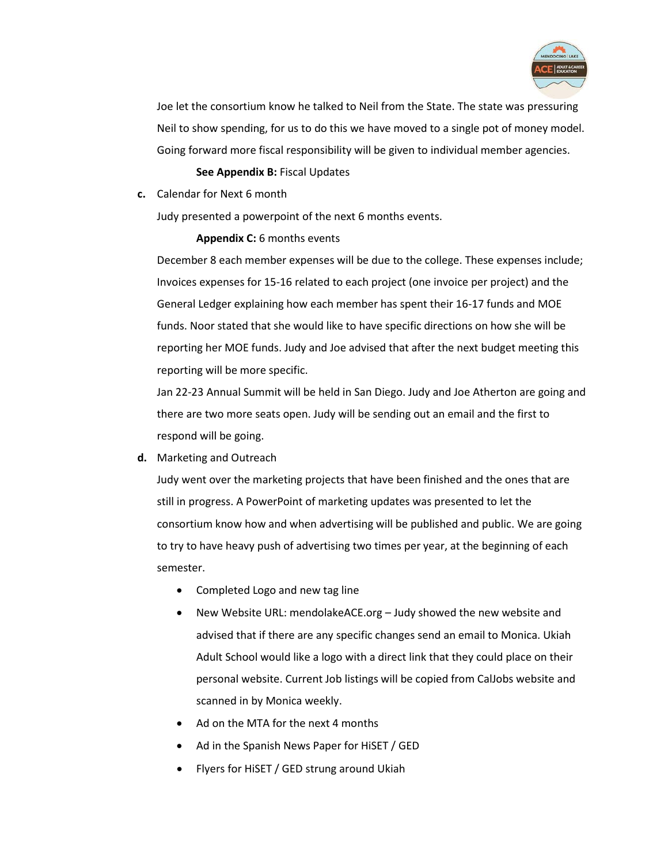

Joe let the consortium know he talked to Neil from the State. The state was pressuring Neil to show spending, for us to do this we have moved to a single pot of money model. Going forward more fiscal responsibility will be given to individual member agencies.

#### **See Appendix B:** Fiscal Updates

**c.** Calendar for Next 6 month

Judy presented a powerpoint of the next 6 months events.

**Appendix C:** 6 months events

December 8 each member expenses will be due to the college. These expenses include; Invoices expenses for 15-16 related to each project (one invoice per project) and the General Ledger explaining how each member has spent their 16-17 funds and MOE funds. Noor stated that she would like to have specific directions on how she will be reporting her MOE funds. Judy and Joe advised that after the next budget meeting this reporting will be more specific.

Jan 22-23 Annual Summit will be held in San Diego. Judy and Joe Atherton are going and there are two more seats open. Judy will be sending out an email and the first to respond will be going.

**d.** Marketing and Outreach

Judy went over the marketing projects that have been finished and the ones that are still in progress. A PowerPoint of marketing updates was presented to let the consortium know how and when advertising will be published and public. We are going to try to have heavy push of advertising two times per year, at the beginning of each semester.

- Completed Logo and new tag line
- New Website URL: mendolakeACE.org Judy showed the new website and advised that if there are any specific changes send an email to Monica. Ukiah Adult School would like a logo with a direct link that they could place on their personal website. Current Job listings will be copied from CalJobs website and scanned in by Monica weekly.
- Ad on the MTA for the next 4 months
- Ad in the Spanish News Paper for HiSET / GED
- Flyers for HiSET / GED strung around Ukiah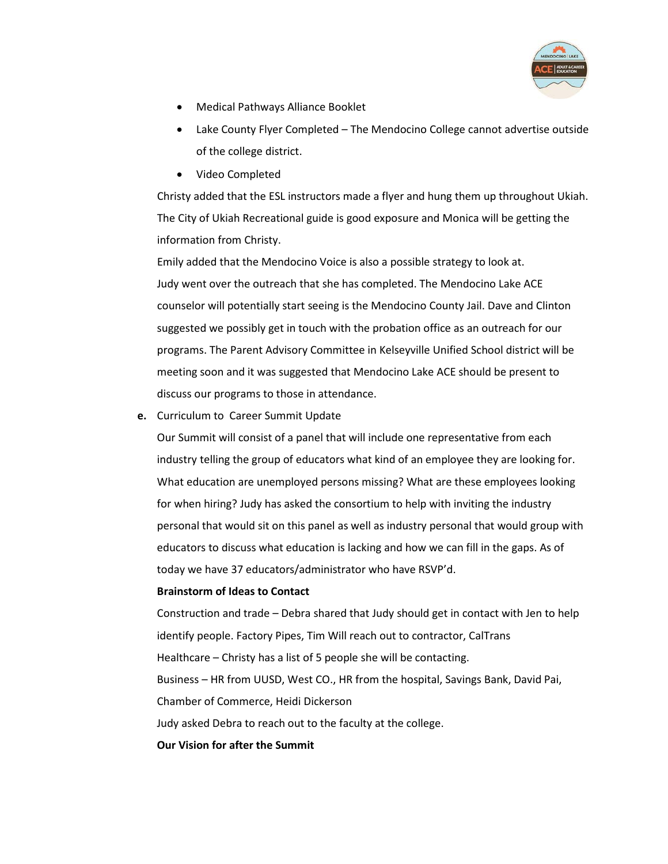

- Medical Pathways Alliance Booklet
- Lake County Flyer Completed The Mendocino College cannot advertise outside of the college district.
- Video Completed

Christy added that the ESL instructors made a flyer and hung them up throughout Ukiah. The City of Ukiah Recreational guide is good exposure and Monica will be getting the information from Christy.

Emily added that the Mendocino Voice is also a possible strategy to look at. Judy went over the outreach that she has completed. The Mendocino Lake ACE counselor will potentially start seeing is the Mendocino County Jail. Dave and Clinton suggested we possibly get in touch with the probation office as an outreach for our programs. The Parent Advisory Committee in Kelseyville Unified School district will be meeting soon and it was suggested that Mendocino Lake ACE should be present to discuss our programs to those in attendance.

**e.** Curriculum to Career Summit Update

Our Summit will consist of a panel that will include one representative from each industry telling the group of educators what kind of an employee they are looking for. What education are unemployed persons missing? What are these employees looking for when hiring? Judy has asked the consortium to help with inviting the industry personal that would sit on this panel as well as industry personal that would group with educators to discuss what education is lacking and how we can fill in the gaps. As of today we have 37 educators/administrator who have RSVP'd.

#### **Brainstorm of Ideas to Contact**

Construction and trade – Debra shared that Judy should get in contact with Jen to help identify people. Factory Pipes, Tim Will reach out to contractor, CalTrans Healthcare – Christy has a list of 5 people she will be contacting. Business – HR from UUSD, West CO., HR from the hospital, Savings Bank, David Pai, Chamber of Commerce, Heidi Dickerson Judy asked Debra to reach out to the faculty at the college.

#### **Our Vision for after the Summit**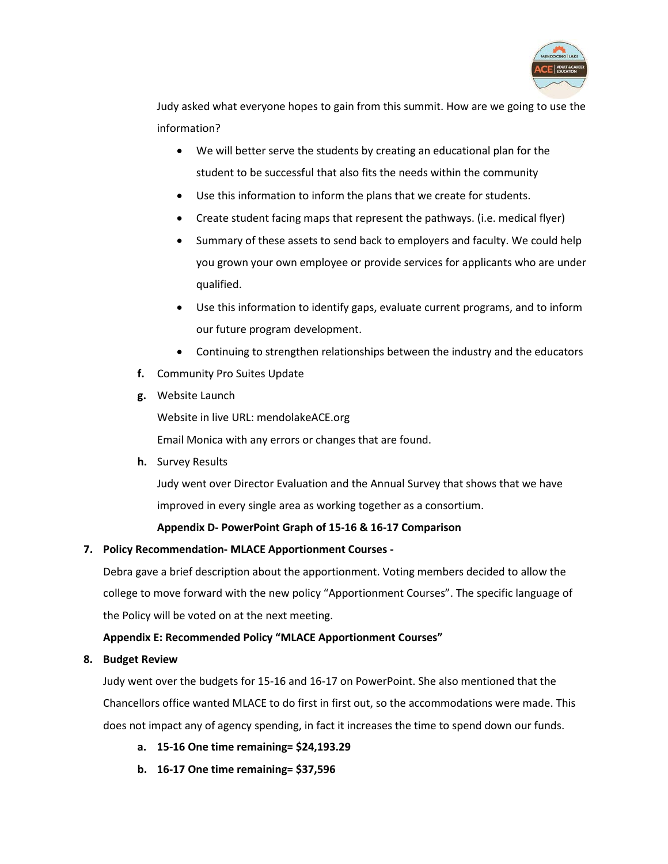

Judy asked what everyone hopes to gain from this summit. How are we going to use the information?

- We will better serve the students by creating an educational plan for the student to be successful that also fits the needs within the community
- Use this information to inform the plans that we create for students.
- Create student facing maps that represent the pathways. (i.e. medical flyer)
- Summary of these assets to send back to employers and faculty. We could help you grown your own employee or provide services for applicants who are under qualified.
- Use this information to identify gaps, evaluate current programs, and to inform our future program development.
- Continuing to strengthen relationships between the industry and the educators
- **f.** Community Pro Suites Update
- **g.** Website Launch

Website in live URL: mendolakeACE.org Email Monica with any errors or changes that are found.

**h.** Survey Results

Judy went over Director Evaluation and the Annual Survey that shows that we have improved in every single area as working together as a consortium.

#### **Appendix D- PowerPoint Graph of 15-16 & 16-17 Comparison**

#### **7. Policy Recommendation- MLACE Apportionment Courses -**

Debra gave a brief description about the apportionment. Voting members decided to allow the college to move forward with the new policy "Apportionment Courses". The specific language of the Policy will be voted on at the next meeting.

#### **Appendix E: Recommended Policy "MLACE Apportionment Courses"**

#### **8. Budget Review**

Judy went over the budgets for 15-16 and 16-17 on PowerPoint. She also mentioned that the Chancellors office wanted MLACE to do first in first out, so the accommodations were made. This does not impact any of agency spending, in fact it increases the time to spend down our funds.

- **a. 15-16 One time remaining= \$24,193.29**
- **b. 16-17 One time remaining= \$37,596**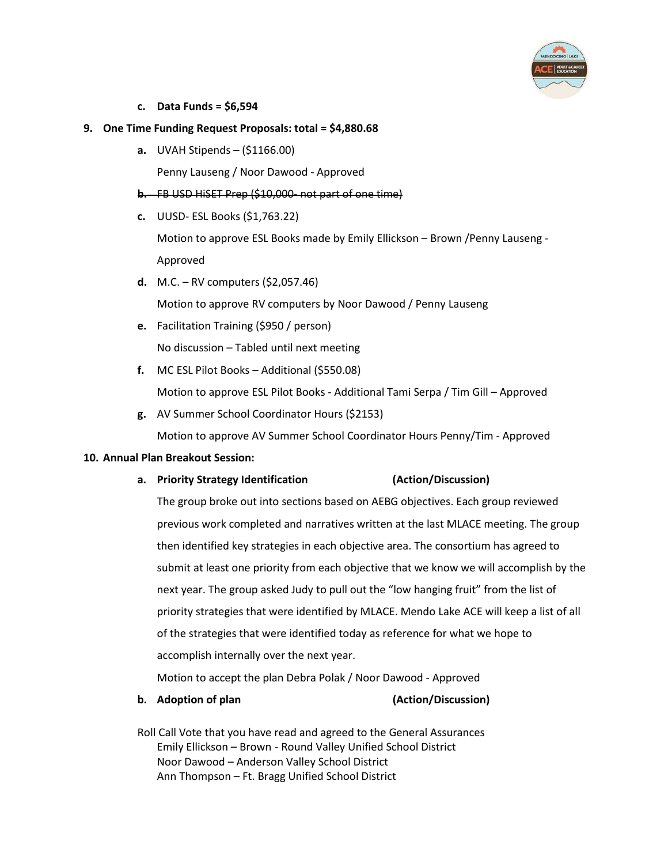

**c. Data Funds = \$6,594**

#### **9. One Time Funding Request Proposals: total = \$4,880.68**

**a.** UVAH Stipends – (\$1166.00)

Penny Lauseng / Noor Dawood - Approved

- **b.** FB USD HiSET Prep (\$10,000- not part of one time)
- **c.** UUSD- ESL Books (\$1,763.22)

Motion to approve ESL Books made by Emily Ellickson – Brown /Penny Lauseng - Approved

- **d.** M.C. RV computers (\$2,057.46) Motion to approve RV computers by Noor Dawood / Penny Lauseng
- **e.** Facilitation Training (\$950 / person) No discussion – Tabled until next meeting
- **f.** MC ESL Pilot Books Additional (\$550.08) Motion to approve ESL Pilot Books - Additional Tami Serpa / Tim Gill – Approved
- **g.** AV Summer School Coordinator Hours (\$2153)

Motion to approve AV Summer School Coordinator Hours Penny/Tim - Approved

#### **10. Annual Plan Breakout Session:**

**a. Priority Strategy Identification (Action/Discussion)**

The group broke out into sections based on AEBG objectives. Each group reviewed previous work completed and narratives written at the last MLACE meeting. The group then identified key strategies in each objective area. The consortium has agreed to submit at least one priority from each objective that we know we will accomplish by the next year. The group asked Judy to pull out the "low hanging fruit" from the list of priority strategies that were identified by MLACE. Mendo Lake ACE will keep a list of all of the strategies that were identified today as reference for what we hope to accomplish internally over the next year.

Motion to accept the plan Debra Polak / Noor Dawood - Approved

**b. Adoption of plan (Action/Discussion)**

Roll Call Vote that you have read and agreed to the General Assurances Emily Ellickson – Brown - Round Valley Unified School District Noor Dawood – Anderson Valley School District Ann Thompson – Ft. Bragg Unified School District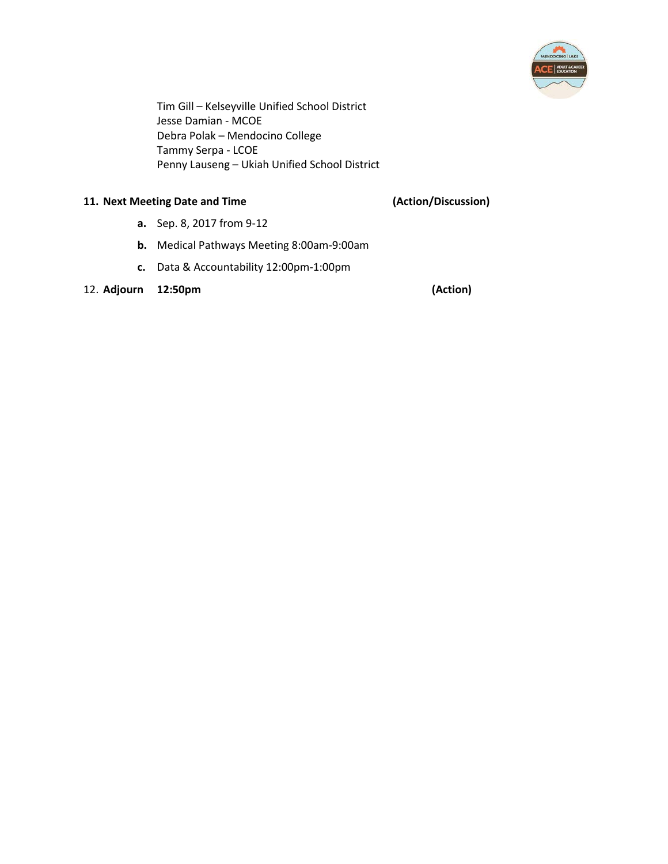

Tim Gill – Kelseyville Unified School District Jesse Damian - MCOE Debra Polak – Mendocino College Tammy Serpa - LCOE Penny Lauseng – Ukiah Unified School District

#### **11. Next Meeting Date and Time (Action/Discussion)**

- **a.** Sep. 8, 2017 from 9-12
- **b.** Medical Pathways Meeting 8:00am-9:00am
- **c.** Data & Accountability 12:00pm-1:00pm

#### 12. **Adjourn 12:50pm (Action)**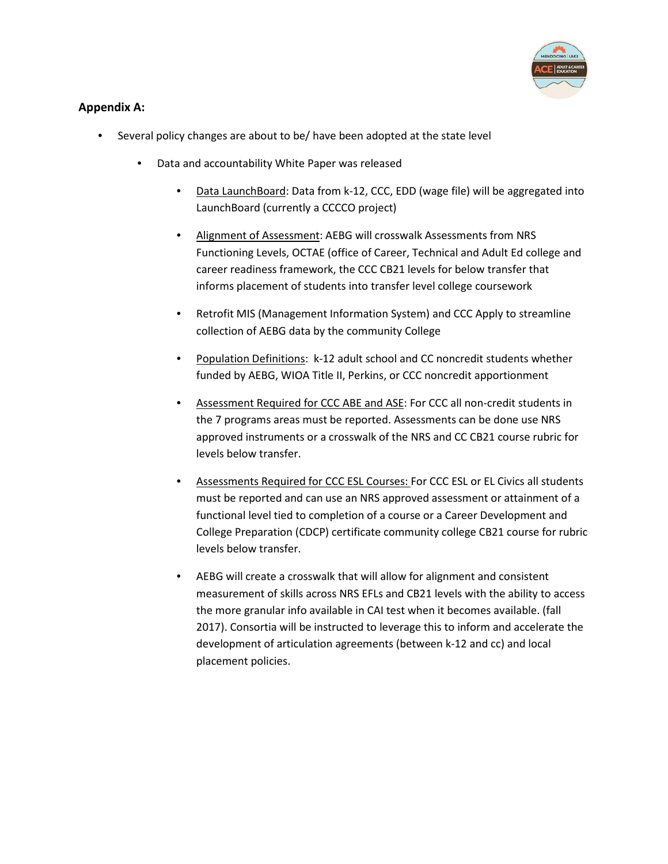

#### **Appendix A:**

- Several policy changes are about to be/ have been adopted at the state level
	- Data and accountability White Paper was released
		- Data LaunchBoard: Data from k-12, CCC, EDD (wage file) will be aggregated into LaunchBoard (currently a CCCCO project)
		- Alignment of Assessment: AEBG will crosswalk Assessments from NRS Functioning Levels, OCTAE (office of Career, Technical and Adult Ed college and career readiness framework, the CCC CB21 levels for below transfer that informs placement of students into transfer level college coursework
		- Retrofit MIS (Management Information System) and CCC Apply to streamline collection of AEBG data by the community College
		- Population Definitions: k-12 adult school and CC noncredit students whether funded by AEBG, WIOA Title II, Perkins, or CCC noncredit apportionment
		- Assessment Required for CCC ABE and ASE: For CCC all non-credit students in the 7 programs areas must be reported. Assessments can be done use NRS approved instruments or a crosswalk of the NRS and CC CB21 course rubric for levels below transfer.
		- Assessments Required for CCC ESL Courses: For CCC ESL or EL Civics all students must be reported and can use an NRS approved assessment or attainment of a functional level tied to completion of a course or a Career Development and College Preparation (CDCP) certificate community college CB21 course for rubric levels below transfer.
		- AEBG will create a crosswalk that will allow for alignment and consistent measurement of skills across NRS EFLs and CB21 levels with the ability to access the more granular info available in CAI test when it becomes available. (fall 2017). Consortia will be instructed to leverage this to inform and accelerate the development of articulation agreements (between k-12 and cc) and local placement policies.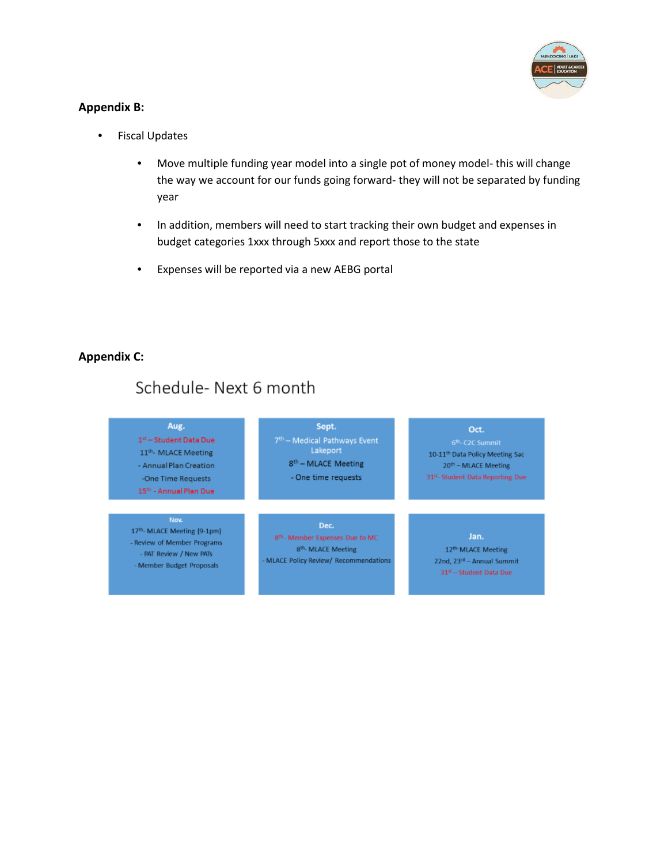

#### **Appendix B:**

- **Fiscal Updates** 
	- Move multiple funding year model into a single pot of money model- this will change the way we account for our funds going forward- they will not be separated by funding year
	- In addition, members will need to start tracking their own budget and expenses in budget categories 1xxx through 5xxx and report those to the state
	- Expenses will be reported via a new AEBG portal

#### **Appendix C:**

#### Schedule-Next 6 month Aug. Sept. Oct.  $1^\text{st}$  – Student Data Due 7<sup>th</sup> - Medical Pathways Event Lakeport 11<sup>th</sup>- MLACE Meeting 10-11th Data Policy Meeting Sac 8<sup>th</sup> - MLACE Meeting - Annual Plan Creation 20<sup>th</sup> - MLACE Meeting -One Time Requests - One time requests 31st- Student Data Reporting Due 15<sup>th</sup> - Annual Plan Due Nov. Dec. 17th- MLACE Meeting (9-1pm) Jan. 8th - Member Expenses Due to MC - Review of Member Programs 8<sup>th</sup>- MLACE Meeting 12th MLACE Meeting - PAT Review / New PATs MLACE Policy Review/ Recommendations 22nd, 23rd - Annual Summit - Member Budget Proposals  $34^{\rm st} -$ Student Data Due